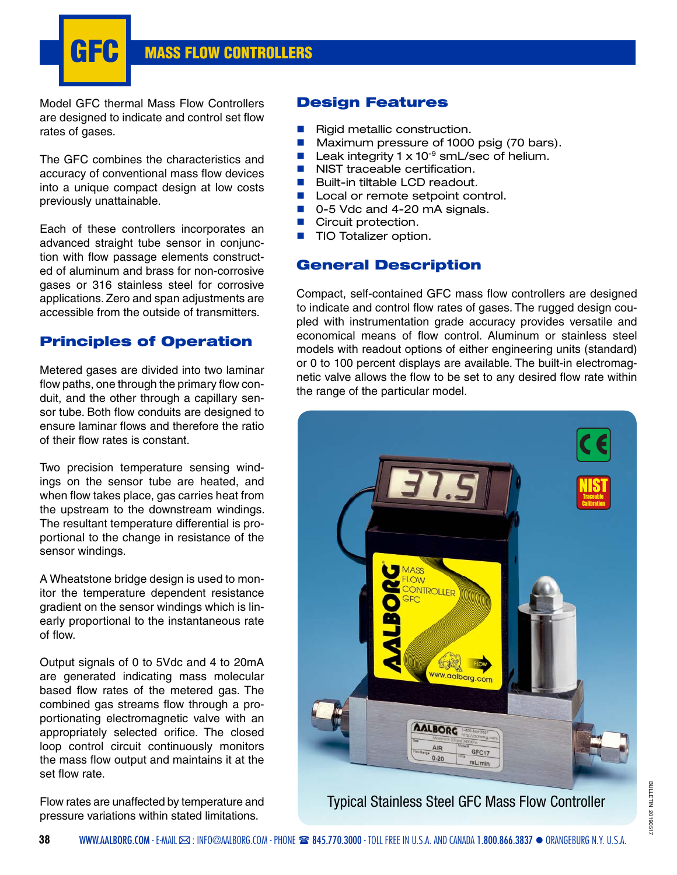**GFC MASS FLOW CONTROLLERS**

Model GFC thermal Mass Flow Controllers are designed to indicate and control set flow rates of gases.

The GFC combines the characteristics and accuracy of conventional mass flow devices into a unique compact design at low costs previously unattainable.

Each of these controllers incorporates an advanced straight tube sensor in conjunction with flow passage elements constructed of aluminum and brass for non-corrosive gases or 316 stainless steel for corrosive applications. Zero and span adjustments are accessible from the outside of transmitters.

## **Principles of Operation**

Metered gases are divided into two laminar flow paths, one through the primary flow conduit, and the other through a capillary sensor tube. Both flow conduits are designed to ensure laminar flows and therefore the ratio of their flow rates is constant.

Two precision temperature sensing windings on the sensor tube are heated, and when flow takes place, gas carries heat from the upstream to the downstream windings. The resultant temperature differential is proportional to the change in resistance of the sensor windings.

A Wheatstone bridge design is used to monitor the temperature dependent resistance gradient on the sensor windings which is linearly proportional to the instantaneous rate of flow.

Output signals of 0 to 5Vdc and 4 to 20mA are generated indicating mass molecular based flow rates of the metered gas. The combined gas streams flow through a proportionating electromagnetic valve with an appropriately selected orifice. The closed loop control circuit continuously monitors the mass flow output and maintains it at the set flow rate.

Flow rates are unaffected by temperature and pressure variations within stated limitations.

## **Design Features**

- Rigid metallic construction.
- Maximum pressure of 1000 psig (70 bars).
- Leak integrity  $1 \times 10^{-9}$  smL/sec of helium.
- $\blacksquare$  NIST traceable certification.
- Built-in tiltable LCD readout.
- Local or remote setpoint control.
- 0-5 Vdc and 4-20 mA signals.
- Circuit protection.
- **TIO Totalizer option.**

## **General Description**

Compact, self-contained GFC mass flow controllers are designed to indicate and control flow rates of gases. The rugged design coupled with instrumentation grade accuracy provides versatile and economical means of flow control. Aluminum or stainless steel models with readout options of either engineering units (standard) or 0 to 100 percent displays are available. The built-in electromagnetic valve allows the flow to be set to any desired flow rate within the range of the particular model.



Typical Stainless Steel GFC Mass Flow Controller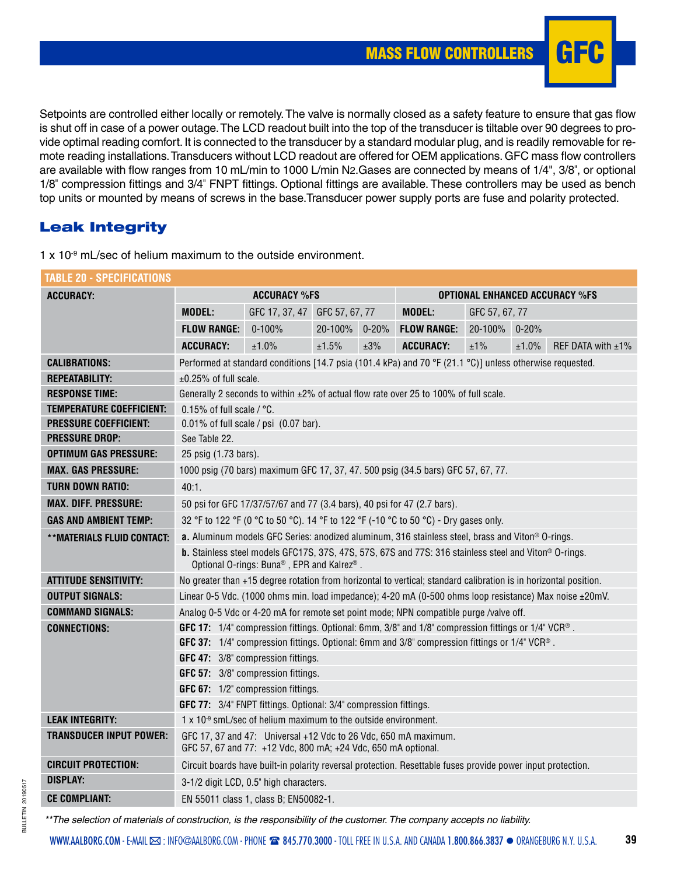

Setpoints are controlled either locally or remotely. The valve is normally closed as a safety feature to ensure that gas flow is shut off in case of a power outage. The LCD readout built into the top of the transducer is tiltable over 90 degrees to provide optimal reading comfort. It is connected to the transducer by a standard modular plug, and is readily removable for remote reading installations. Transducers without LCD readout are offered for OEM applications. GFC mass flow controllers are available with flow ranges from 10 mL/min to 1000 L/min N2.Gases are connected by means of 1/4", 3/8", or optional 1/8" compression fittings and 3/4" FNPT fittings. Optional fittings are available. These controllers may be used as bench top units or mounted by means of screws in the base.Transducer power supply ports are fuse and polarity protected.

## **Leak Integrity**

| Table 20 - Specifications         |                                                                                                                                                           |                               |               |     |                                                                                                                  |                |                               |  |  |  |  |
|-----------------------------------|-----------------------------------------------------------------------------------------------------------------------------------------------------------|-------------------------------|---------------|-----|------------------------------------------------------------------------------------------------------------------|----------------|-------------------------------|--|--|--|--|
| <b>ACCURACY:</b>                  |                                                                                                                                                           | <b>ACCURACY %FS</b>           |               |     | <b>OPTIONAL ENHANCED ACCURACY %FS</b>                                                                            |                |                               |  |  |  |  |
|                                   | <b>MODEL:</b>                                                                                                                                             | GFC 17, 37, 47 GFC 57, 67, 77 |               |     | <b>MODEL:</b>                                                                                                    | GFC 57, 67, 77 |                               |  |  |  |  |
|                                   | <b>FLOW RANGE:</b>                                                                                                                                        | $0 - 100%$                    | 20-100% 0-20% |     | <b>FLOW RANGE:</b>                                                                                               | 20-100% 0-20%  |                               |  |  |  |  |
|                                   | <b>ACCURACY:</b>                                                                                                                                          | ±1.0%                         | ±1.5%         | ±3% | <b>ACCURACY:</b>                                                                                                 | ±1%            | ±1.0%<br>REF DATA with $±1\%$ |  |  |  |  |
| <b>CALIBRATIONS:</b>              |                                                                                                                                                           |                               |               |     | Performed at standard conditions [14.7 psia (101.4 kPa) and 70 °F (21.1 °C)] unless otherwise requested.         |                |                               |  |  |  |  |
| <b>REPEATABILITY:</b>             | $\pm 0.25\%$ of full scale.                                                                                                                               |                               |               |     |                                                                                                                  |                |                               |  |  |  |  |
| <b>RESPONSE TIME:</b>             |                                                                                                                                                           |                               |               |     | Generally 2 seconds to within $\pm 2\%$ of actual flow rate over 25 to 100% of full scale.                       |                |                               |  |  |  |  |
| TEMPERATURE COEFFICIENT:          | 0.15% of full scale / °C.                                                                                                                                 |                               |               |     |                                                                                                                  |                |                               |  |  |  |  |
| <b>PRESSURE COEFFICIENT:</b>      | $0.01\%$ of full scale / psi $(0.07$ bar).                                                                                                                |                               |               |     |                                                                                                                  |                |                               |  |  |  |  |
| <b>PRESSURE DROP:</b>             | See Table 22.                                                                                                                                             |                               |               |     |                                                                                                                  |                |                               |  |  |  |  |
| <b>OPTIMUM GAS PRESSURE:</b>      | 25 psig (1.73 bars).                                                                                                                                      |                               |               |     |                                                                                                                  |                |                               |  |  |  |  |
| <b>MAX. GAS PRESSURE:</b>         |                                                                                                                                                           |                               |               |     | 1000 psig (70 bars) maximum GFC 17, 37, 47. 500 psig (34.5 bars) GFC 57, 67, 77.                                 |                |                               |  |  |  |  |
| <b>TURN DOWN RATIO:</b>           | 40:1.                                                                                                                                                     |                               |               |     |                                                                                                                  |                |                               |  |  |  |  |
| <b>MAX. DIFF. PRESSURE:</b>       | 50 psi for GFC 17/37/57/67 and 77 (3.4 bars), 40 psi for 47 (2.7 bars).                                                                                   |                               |               |     |                                                                                                                  |                |                               |  |  |  |  |
| <b>GAS AND AMBIENT TEMP:</b>      | 32 °F to 122 °F (0 °C to 50 °C). 14 °F to 122 °F (-10 °C to 50 °C) - Dry gases only.                                                                      |                               |               |     |                                                                                                                  |                |                               |  |  |  |  |
| <b>**MATERIALS FLUID CONTACT:</b> | a. Aluminum models GFC Series: anodized aluminum, 316 stainless steel, brass and Viton® O-rings.                                                          |                               |               |     |                                                                                                                  |                |                               |  |  |  |  |
|                                   | <b>b.</b> Stainless steel models GFC17S, 37S, 47S, 57S, 67S and 77S: 316 stainless steel and Viton® O-rings.<br>Optional O-rings: Buna®, EPR and Kalrez®. |                               |               |     |                                                                                                                  |                |                               |  |  |  |  |
| <b>ATTITUDE SENSITIVITY:</b>      |                                                                                                                                                           |                               |               |     | No greater than +15 degree rotation from horizontal to vertical; standard calibration is in horizontal position. |                |                               |  |  |  |  |
| <b>OUTPUT SIGNALS:</b>            |                                                                                                                                                           |                               |               |     | Linear 0-5 Vdc. (1000 ohms min. load impedance); 4-20 mA (0-500 ohms loop resistance) Max noise ±20mV.           |                |                               |  |  |  |  |
| <b>COMMAND SIGNALS:</b>           |                                                                                                                                                           |                               |               |     | Analog 0-5 Vdc or 4-20 mA for remote set point mode; NPN compatible purge /valve off.                            |                |                               |  |  |  |  |
| <b>CONNECTIONS:</b>               | GFC 17: 1/4" compression fittings. Optional: 6mm, 3/8" and 1/8" compression fittings or 1/4" VCR®.                                                        |                               |               |     |                                                                                                                  |                |                               |  |  |  |  |
|                                   |                                                                                                                                                           |                               |               |     | GFC 37: 1/4" compression fittings. Optional: 6mm and 3/8" compression fittings or 1/4" VCR®.                     |                |                               |  |  |  |  |
|                                   | GFC 47: 3/8" compression fittings.                                                                                                                        |                               |               |     |                                                                                                                  |                |                               |  |  |  |  |
|                                   | GFC 57: 3/8" compression fittings.                                                                                                                        |                               |               |     |                                                                                                                  |                |                               |  |  |  |  |
|                                   | GFC 67: 1/2" compression fittings.                                                                                                                        |                               |               |     |                                                                                                                  |                |                               |  |  |  |  |
|                                   | <b>GFC 77:</b> 3/4" FNPT fittings. Optional: 3/4" compression fittings.                                                                                   |                               |               |     |                                                                                                                  |                |                               |  |  |  |  |
| <b>LEAK INTEGRITY:</b>            | 1 x 10 <sup>-9</sup> smL/sec of helium maximum to the outside environment.                                                                                |                               |               |     |                                                                                                                  |                |                               |  |  |  |  |
| <b>TRANSDUCER INPUT POWER:</b>    | GFC 17, 37 and 47: Universal +12 Vdc to 26 Vdc, 650 mA maximum.<br>GFC 57, 67 and 77: +12 Vdc, 800 mA; +24 Vdc, 650 mA optional.                          |                               |               |     |                                                                                                                  |                |                               |  |  |  |  |
| <b>CIRCUIT PROTECTION:</b>        |                                                                                                                                                           |                               |               |     | Circuit boards have built-in polarity reversal protection. Resettable fuses provide power input protection.      |                |                               |  |  |  |  |
| <b>DISPLAY:</b>                   | 3-1/2 digit LCD, 0.5" high characters.                                                                                                                    |                               |               |     |                                                                                                                  |                |                               |  |  |  |  |
| <b>CE COMPLIANT:</b>              | EN 55011 class 1, class B; EN50082-1.                                                                                                                     |                               |               |     |                                                                                                                  |                |                               |  |  |  |  |

1 x 10<sup>-9</sup> mL/sec of helium maximum to the outside environment.

 *\*\*The selection of materials of construction, is the responsibility of the customer. The company accepts no liability.*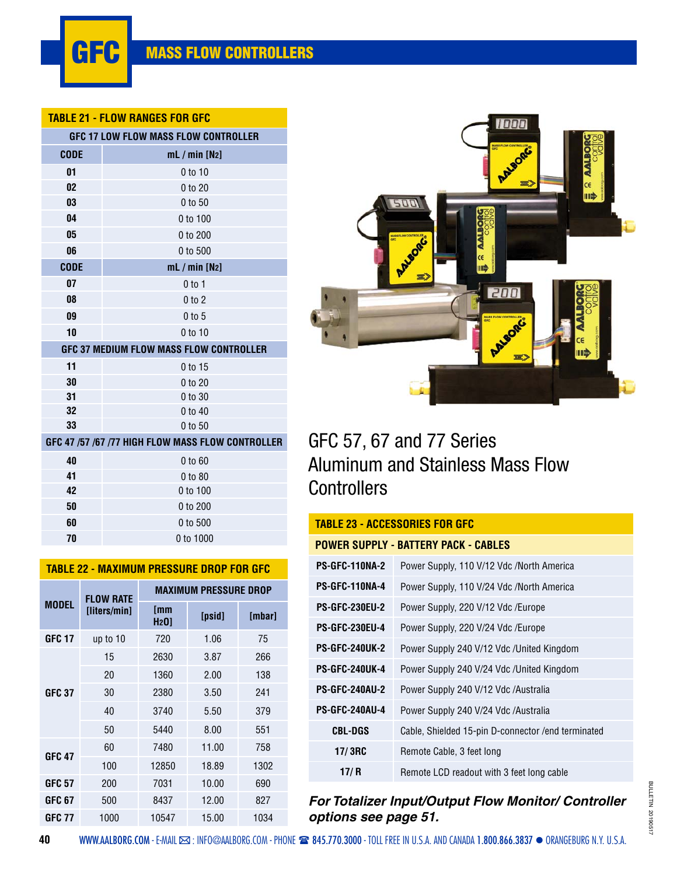#### **TABLE 21 - FLOW RANGES FOR GFC**

|             | <b>GFC 17 LOW FLOW MASS FLOW CONTROLLER</b>       |
|-------------|---------------------------------------------------|
| <b>CODE</b> | mL / min [N2]                                     |
| 01          | $0$ to 10                                         |
| 02          | 0 to 20                                           |
| 03          | 0 to 50                                           |
| 04          | 0 to 100                                          |
| 05          | 0 to 200                                          |
| 06          | 0 to 500                                          |
| <b>CODE</b> | mL / min [N2]                                     |
| 07          | 0 <sub>to 1</sub>                                 |
| 08          | $0$ to $2$                                        |
| 09          | $0$ to 5                                          |
| 10          | $0$ to 10                                         |
|             | GFC 37 MEDIUM FLOW MASS FLOW CONTROLLER           |
| 11          | 0 to 15                                           |
| 30          | 0 to 20                                           |
| 31          | 0 to 30                                           |
| 32          | 0 to 40                                           |
| 33          | 0 to 50                                           |
|             | GFC 47 /57 /67 /77 HIGH FLOW MASS FLOW CONTROLLER |
| 40          | 0 to 60                                           |
| 41          | 0 to 80                                           |
| 42          | 0 to 100                                          |
| 50          | 0 to 200                                          |
| 60          | 0 to 500                                          |
| 70          | 0 to 1000                                         |
|             |                                                   |

| IILVVVIIL PIIVI |                  |                              |        |        |  |  |  |  |  |  |
|-----------------|------------------|------------------------------|--------|--------|--|--|--|--|--|--|
| <b>MODEL</b>    | <b>FLOW RATE</b> | <b>MAXIMUM PRESSURE DROP</b> |        |        |  |  |  |  |  |  |
|                 | [liters/min]     | [mm<br>H <sub>2</sub> 0      | [psid] | [mbar] |  |  |  |  |  |  |
| <b>GFC 17</b>   | up to 10         | 720                          | 1.06   | 75     |  |  |  |  |  |  |
|                 | 15               | 2630                         | 3.87   | 266    |  |  |  |  |  |  |
|                 | 20               | 1360                         | 2.00   | 138    |  |  |  |  |  |  |
| <b>GFC 37</b>   | 30               | 2380                         | 3.50   | 241    |  |  |  |  |  |  |
|                 | 40               | 3740                         | 5.50   | 379    |  |  |  |  |  |  |
|                 | 50               | 5440                         | 8.00   | 551    |  |  |  |  |  |  |
| <b>GFC 47</b>   | 60               | 7480                         | 11.00  | 758    |  |  |  |  |  |  |
|                 | 100              | 12850                        | 18.89  | 1302   |  |  |  |  |  |  |
| GFC 57          | 200              | 7031                         | 10.00  | 690    |  |  |  |  |  |  |
| GFC 67          | 500              | 8437                         | 12.00  | 827    |  |  |  |  |  |  |
| GFC 77          | 1000             | 10547                        | 15.00  | 1034   |  |  |  |  |  |  |

**TABLE 22 - MAXIMUM PRESSURE DROP FOR GFC**



# GFC 57, 67 and 77 Series Aluminum and Stainless Mass Flow **Controllers**

## **TABLE 23 - ACCESSORIES FOR GFC**

|                       | POWER SUPPLY - BATTERY PACK - CABLES                |
|-----------------------|-----------------------------------------------------|
| <b>PS-GFC-110NA-2</b> | Power Supply, 110 V/12 Vdc /North America           |
| PS-GFC-110NA-4        | Power Supply, 110 V/24 Vdc /North America           |
| <b>PS-GFC-230EU-2</b> | Power Supply, 220 V/12 Vdc /Europe                  |
| <b>PS-GFC-230EU-4</b> | Power Supply, 220 V/24 Vdc /Europe                  |
| <b>PS-GFC-240UK-2</b> | Power Supply 240 V/12 Vdc /United Kingdom           |
| <b>PS-GFC-240UK-4</b> | Power Supply 240 V/24 Vdc /United Kingdom           |
| <b>PS-GFC-240AU-2</b> | Power Supply 240 V/12 Vdc /Australia                |
| <b>PS-GFC-240AU-4</b> | Power Supply 240 V/24 Vdc /Australia                |
| <b>CBL-DGS</b>        | Cable, Shielded 15-pin D-connector / end terminated |
| 17/3RC                | Remote Cable, 3 feet long                           |
| 17/ R                 | Remote LCD readout with 3 feet long cable           |

*For Totalizer Input/Output Flow Monitor/ Controller options see page 51.*

#### **40**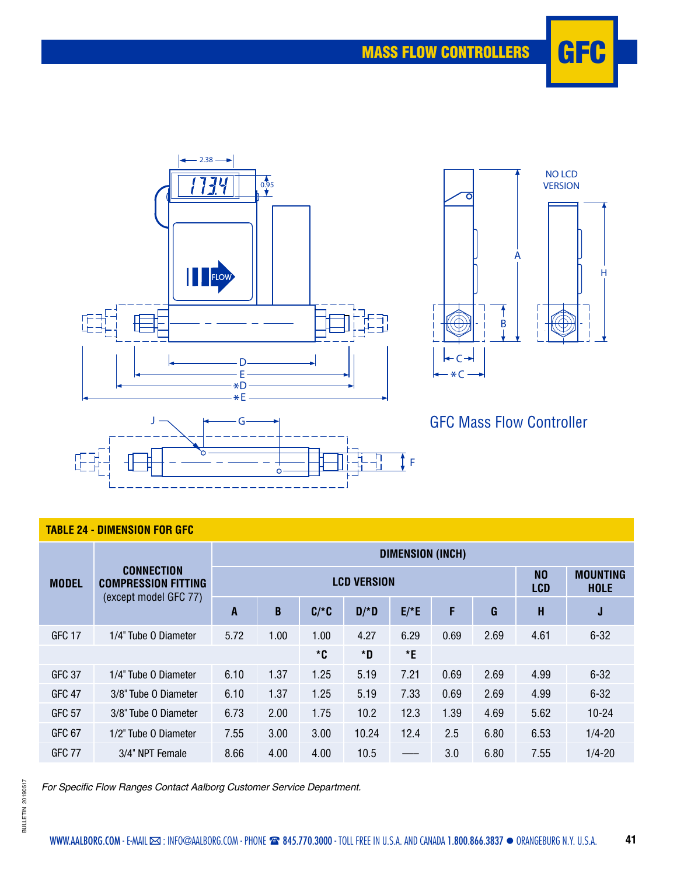



GFC Mass Flow Controller

### **TABLE 24 - DIMENSION FOR GFC**

|                   |                                                                          | DIMENSION (INCH) |      |                              |                                |        |      |      |      |            |  |
|-------------------|--------------------------------------------------------------------------|------------------|------|------------------------------|--------------------------------|--------|------|------|------|------------|--|
| <b>MODEL</b>      | <b>CONNECTION</b><br><b>COMPRESSION FITTING</b><br>(except model GFC 77) |                  |      | N <sub>0</sub><br><b>LCD</b> | <b>MOUNTING</b><br><b>HOLE</b> |        |      |      |      |            |  |
|                   |                                                                          | A                | B    | $C/*C$                       | $D/*D$                         | $E/*E$ | F    | G    | H    | J          |  |
| <b>GFC 17</b>     | 1/4" Tube 0 Diameter                                                     | 5.72             | 1.00 | 1.00                         | 4.27                           | 6.29   | 0.69 | 2.69 | 4.61 | $6 - 32$   |  |
|                   |                                                                          |                  |      | *C                           | *D                             | E      |      |      |      |            |  |
| <b>GFC 37</b>     | 1/4" Tube 0 Diameter                                                     | 6.10             | 1.37 | 1.25                         | 5.19                           | 7.21   | 0.69 | 2.69 | 4.99 | $6 - 32$   |  |
| <b>GFC 47</b>     | 3/8" Tube O Diameter                                                     | 6.10             | 1.37 | 1.25                         | 5.19                           | 7.33   | 0.69 | 2.69 | 4.99 | $6 - 32$   |  |
| <b>GFC 57</b>     | 3/8" Tube O Diameter                                                     | 6.73             | 2.00 | 1.75                         | 10.2                           | 12.3   | 1.39 | 4.69 | 5.62 | $10 - 24$  |  |
| GFC <sub>67</sub> | 1/2" Tube 0 Diameter                                                     | 7.55             | 3.00 | 3.00                         | 10.24                          | 12.4   | 2.5  | 6.80 | 6.53 | $1/4 - 20$ |  |
| GFC 77            | 3/4" NPT Female                                                          | 8.66             | 4.00 | 4.00                         | 10.5                           |        | 3.0  | 6.80 | 7.55 | $1/4 - 20$ |  |

For Specific Flow Ranges Contact Aalborg Customer Service Department.